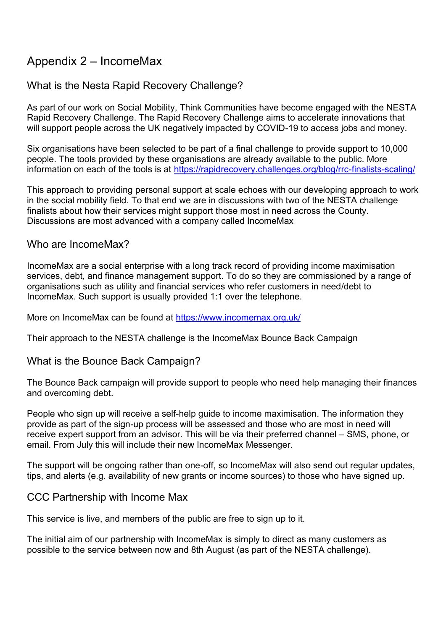# Appendix 2 – IncomeMax

## What is the Nesta Rapid Recovery Challenge?

As part of our work on Social Mobility, Think Communities have become engaged with the NESTA Rapid Recovery Challenge. The Rapid Recovery Challenge aims to accelerate innovations that will support people across the UK negatively impacted by COVID-19 to access jobs and money.

Six organisations have been selected to be part of a final challenge to provide support to 10,000 people. The tools provided by these organisations are already available to the public. More information on each of the tools is at<https://rapidrecovery.challenges.org/blog/rrc-finalists-scaling/>

This approach to providing personal support at scale echoes with our developing approach to work in the social mobility field. To that end we are in discussions with two of the NESTA challenge finalists about how their services might support those most in need across the County. Discussions are most advanced with a company called IncomeMax

### Who are IncomeMax?

IncomeMax are a social enterprise with a long track record of providing income maximisation services, debt, and finance management support. To do so they are commissioned by a range of organisations such as utility and financial services who refer customers in need/debt to IncomeMax. Such support is usually provided 1:1 over the telephone.

More on IncomeMax can be found at<https://www.incomemax.org.uk/>

Their approach to the NESTA challenge is the IncomeMax Bounce Back Campaign

## What is the Bounce Back Campaign?

The Bounce Back campaign will provide support to people who need help managing their finances and overcoming debt.

People who sign up will receive a self-help guide to income maximisation. The information they provide as part of the sign-up process will be assessed and those who are most in need will receive expert support from an advisor. This will be via their preferred channel – SMS, phone, or email. From July this will include their new IncomeMax Messenger.

The support will be ongoing rather than one-off, so IncomeMax will also send out regular updates, tips, and alerts (e.g. availability of new grants or income sources) to those who have signed up.

### CCC Partnership with Income Max

This service is live, and members of the public are free to sign up to it.

The initial aim of our partnership with IncomeMax is simply to direct as many customers as possible to the service between now and 8th August (as part of the NESTA challenge).